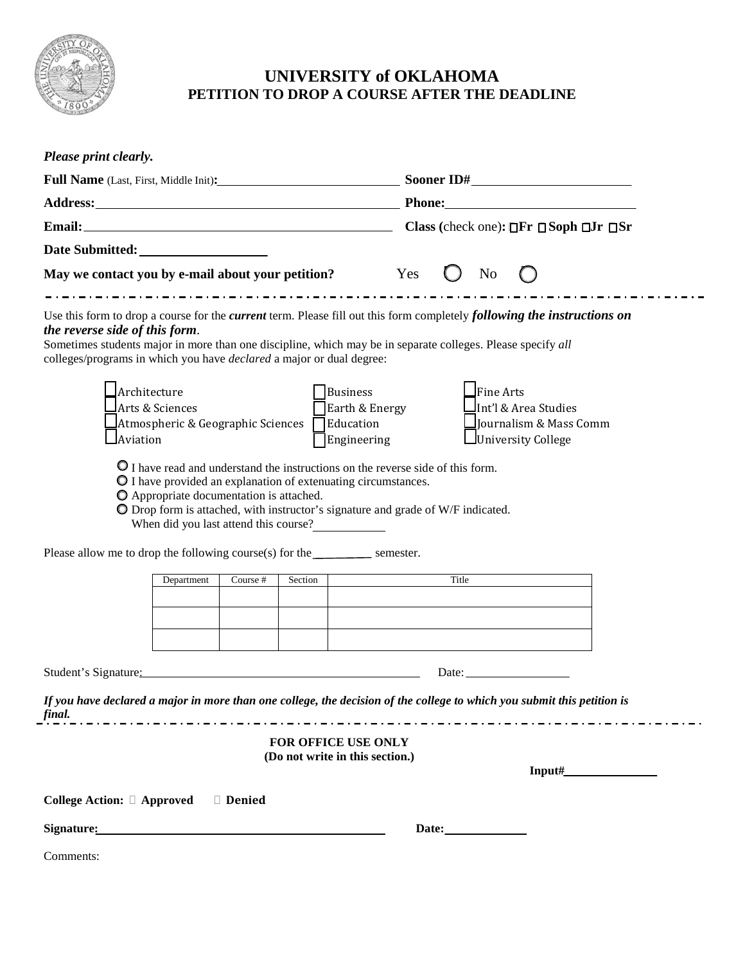

## **UNIVERSITY of OKLAHOMA PETITION TO DROP A COURSE AFTER THE DEADLINE**

| Full Name (Last, First, Middle Init): Sooner ID#<br>May we contact you by e-mail about your petition? Yes<br>No<br>Use this form to drop a course for the <i>current</i> term. Please fill out this form completely <i>following the instructions on</i><br>the reverse side of this form.<br>Sometimes students major in more than one discipline, which may be in separate colleges. Please specify all<br>colleges/programs in which you have <i>declared</i> a major or dual degree:<br>$\Box$ Architecture<br>$\mathsf{\mathsf{J}}$ Fine Arts<br>Business<br>Arts & Sciences<br>Earth & Energy<br>Int'l & Area Studies<br>$\Delta$ Atmospheric & Geographic Sciences $\Box$ Education<br>Journalism & Mass Comm<br><b>Aviation</b><br>Engineering<br>University College<br>O I have read and understand the instructions on the reverse side of this form.<br>O I have provided an explanation of extenuating circumstances.<br>O Appropriate documentation is attached.<br>O Drop form is attached, with instructor's signature and grade of W/F indicated.<br>When did you last attend this course?<br>Please allow me to drop the following course(s) for the $\_\_\_\_\_\$ semester.<br>Department<br>Course #<br>Section<br>Title<br>Student's Signature:<br>Date: $\qquad \qquad$<br>If you have declared a major in more than one college, the decision of the college to which you submit this petition is<br>FOR OFFICE USE ONLY<br>(Do not write in this section.)<br>$Input\#$<br>College Action: □ Approved<br>Denied | Please print clearly. |  |  |  |  |  |  |  |
|----------------------------------------------------------------------------------------------------------------------------------------------------------------------------------------------------------------------------------------------------------------------------------------------------------------------------------------------------------------------------------------------------------------------------------------------------------------------------------------------------------------------------------------------------------------------------------------------------------------------------------------------------------------------------------------------------------------------------------------------------------------------------------------------------------------------------------------------------------------------------------------------------------------------------------------------------------------------------------------------------------------------------------------------------------------------------------------------------------------------------------------------------------------------------------------------------------------------------------------------------------------------------------------------------------------------------------------------------------------------------------------------------------------------------------------------------------------------------------------------------------------------------------------|-----------------------|--|--|--|--|--|--|--|
|                                                                                                                                                                                                                                                                                                                                                                                                                                                                                                                                                                                                                                                                                                                                                                                                                                                                                                                                                                                                                                                                                                                                                                                                                                                                                                                                                                                                                                                                                                                                        |                       |  |  |  |  |  |  |  |
|                                                                                                                                                                                                                                                                                                                                                                                                                                                                                                                                                                                                                                                                                                                                                                                                                                                                                                                                                                                                                                                                                                                                                                                                                                                                                                                                                                                                                                                                                                                                        |                       |  |  |  |  |  |  |  |
|                                                                                                                                                                                                                                                                                                                                                                                                                                                                                                                                                                                                                                                                                                                                                                                                                                                                                                                                                                                                                                                                                                                                                                                                                                                                                                                                                                                                                                                                                                                                        |                       |  |  |  |  |  |  |  |
|                                                                                                                                                                                                                                                                                                                                                                                                                                                                                                                                                                                                                                                                                                                                                                                                                                                                                                                                                                                                                                                                                                                                                                                                                                                                                                                                                                                                                                                                                                                                        |                       |  |  |  |  |  |  |  |
|                                                                                                                                                                                                                                                                                                                                                                                                                                                                                                                                                                                                                                                                                                                                                                                                                                                                                                                                                                                                                                                                                                                                                                                                                                                                                                                                                                                                                                                                                                                                        |                       |  |  |  |  |  |  |  |
|                                                                                                                                                                                                                                                                                                                                                                                                                                                                                                                                                                                                                                                                                                                                                                                                                                                                                                                                                                                                                                                                                                                                                                                                                                                                                                                                                                                                                                                                                                                                        |                       |  |  |  |  |  |  |  |
|                                                                                                                                                                                                                                                                                                                                                                                                                                                                                                                                                                                                                                                                                                                                                                                                                                                                                                                                                                                                                                                                                                                                                                                                                                                                                                                                                                                                                                                                                                                                        |                       |  |  |  |  |  |  |  |
|                                                                                                                                                                                                                                                                                                                                                                                                                                                                                                                                                                                                                                                                                                                                                                                                                                                                                                                                                                                                                                                                                                                                                                                                                                                                                                                                                                                                                                                                                                                                        |                       |  |  |  |  |  |  |  |
|                                                                                                                                                                                                                                                                                                                                                                                                                                                                                                                                                                                                                                                                                                                                                                                                                                                                                                                                                                                                                                                                                                                                                                                                                                                                                                                                                                                                                                                                                                                                        |                       |  |  |  |  |  |  |  |
|                                                                                                                                                                                                                                                                                                                                                                                                                                                                                                                                                                                                                                                                                                                                                                                                                                                                                                                                                                                                                                                                                                                                                                                                                                                                                                                                                                                                                                                                                                                                        |                       |  |  |  |  |  |  |  |
|                                                                                                                                                                                                                                                                                                                                                                                                                                                                                                                                                                                                                                                                                                                                                                                                                                                                                                                                                                                                                                                                                                                                                                                                                                                                                                                                                                                                                                                                                                                                        |                       |  |  |  |  |  |  |  |
|                                                                                                                                                                                                                                                                                                                                                                                                                                                                                                                                                                                                                                                                                                                                                                                                                                                                                                                                                                                                                                                                                                                                                                                                                                                                                                                                                                                                                                                                                                                                        | final.                |  |  |  |  |  |  |  |
|                                                                                                                                                                                                                                                                                                                                                                                                                                                                                                                                                                                                                                                                                                                                                                                                                                                                                                                                                                                                                                                                                                                                                                                                                                                                                                                                                                                                                                                                                                                                        |                       |  |  |  |  |  |  |  |
|                                                                                                                                                                                                                                                                                                                                                                                                                                                                                                                                                                                                                                                                                                                                                                                                                                                                                                                                                                                                                                                                                                                                                                                                                                                                                                                                                                                                                                                                                                                                        |                       |  |  |  |  |  |  |  |
|                                                                                                                                                                                                                                                                                                                                                                                                                                                                                                                                                                                                                                                                                                                                                                                                                                                                                                                                                                                                                                                                                                                                                                                                                                                                                                                                                                                                                                                                                                                                        |                       |  |  |  |  |  |  |  |
|                                                                                                                                                                                                                                                                                                                                                                                                                                                                                                                                                                                                                                                                                                                                                                                                                                                                                                                                                                                                                                                                                                                                                                                                                                                                                                                                                                                                                                                                                                                                        | Comments:             |  |  |  |  |  |  |  |